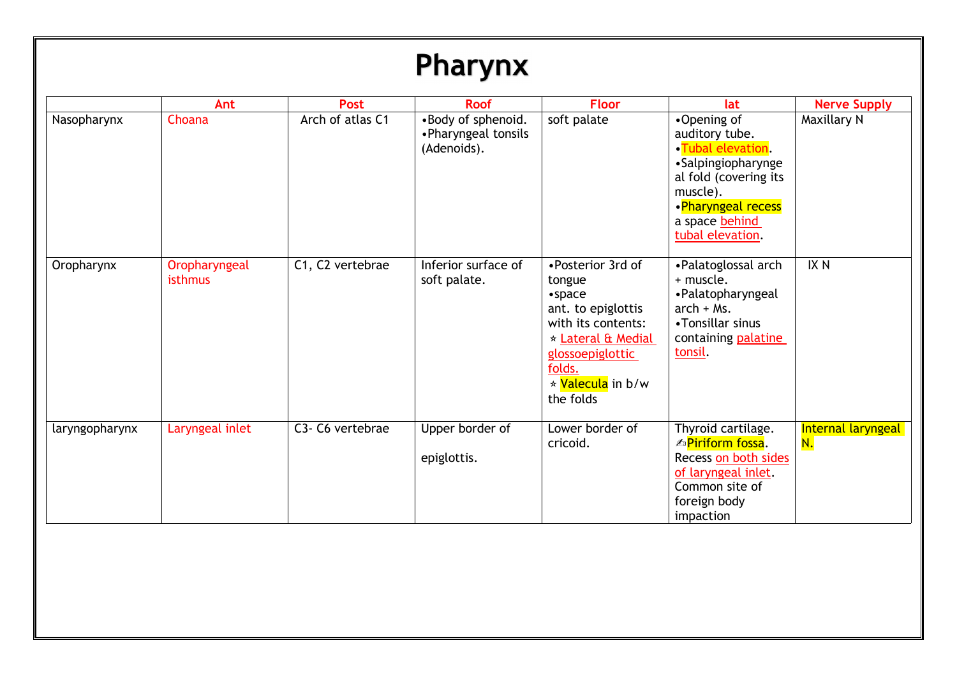## Pharynx

|                | Ant                      | <b>Post</b>      | <b>Roof</b>                                              | <b>Floor</b>                                                                                                                                                                                   | lat                                                                                                                                                                       | <b>Nerve Supply</b>      |
|----------------|--------------------------|------------------|----------------------------------------------------------|------------------------------------------------------------------------------------------------------------------------------------------------------------------------------------------------|---------------------------------------------------------------------------------------------------------------------------------------------------------------------------|--------------------------|
| Nasopharynx    | Choana                   | Arch of atlas C1 | •Body of sphenoid.<br>•Pharyngeal tonsils<br>(Adenoids). | soft palate                                                                                                                                                                                    | •Opening of<br>auditory tube.<br>•Tubal elevation.<br>•Salpingiopharynge<br>al fold (covering its<br>muscle).<br>•Pharyngeal recess<br>a space behind<br>tubal elevation. | Maxillary N              |
| Oropharynx     | Oropharyngeal<br>isthmus | C1, C2 vertebrae | Inferior surface of<br>soft palate.                      | • Posterior 3rd of<br>tongue<br>$\bullet$ space<br>ant. to epiglottis<br>with its contents:<br>★ Lateral & Medial<br>glossoepiglottic<br>folds.<br>* <mark>Valecula</mark> in b/w<br>the folds | •Palatoglossal arch<br>+ muscle.<br>• Palatopharyngeal<br>$arch + Ms.$<br>•Tonsillar sinus<br>containing palatine<br>tonsil                                               | IX <sub>N</sub>          |
| laryngopharynx | Laryngeal inlet          | C3- C6 vertebrae | Upper border of<br>epiglottis.                           | Lower border of<br>cricoid.                                                                                                                                                                    | Thyroid cartilage.<br><b><sup>△</sup>Piriform fossa.</b><br>Recess on both sides<br>of laryngeal inlet.<br>Common site of<br>foreign body<br>impaction                    | Internal laryngeal<br>N. |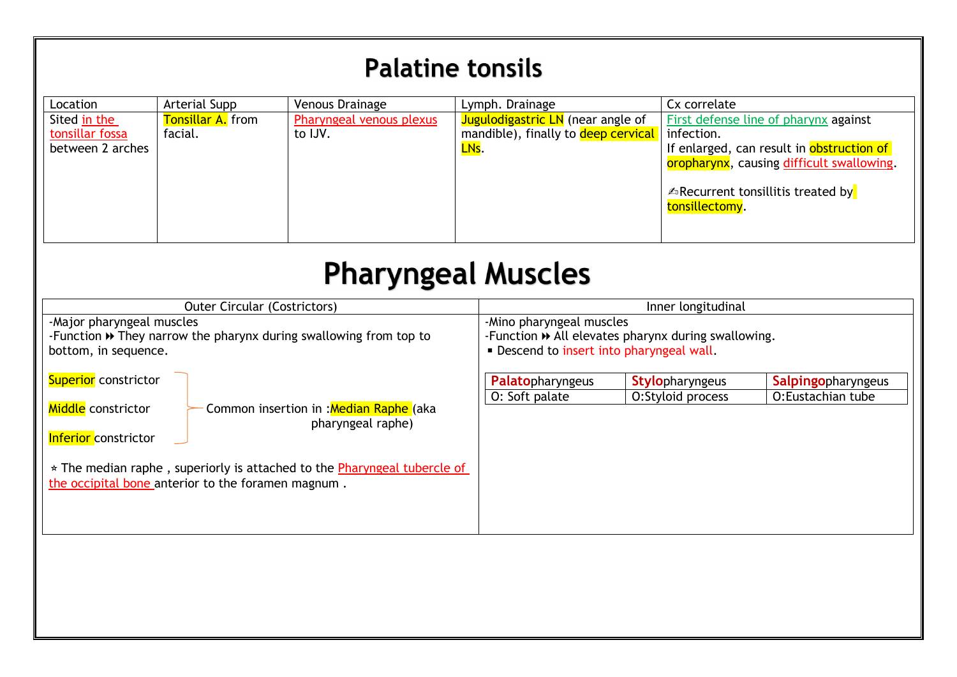## **Palatine tonsils**

| Location         | Arterial Supp            | Venous Drainage          | Lymph. Drainage                          | Cx correlate                                               |
|------------------|--------------------------|--------------------------|------------------------------------------|------------------------------------------------------------|
| Sited in the     | <b>Tonsillar A.</b> from | Pharyngeal venous plexus | <b>Jugulodigastric LN</b> (near angle of | First defense line of pharynx against                      |
| tonsillar fossa  | facial.                  | to IJV.                  | mandible), finally to deep cervical      | infection.                                                 |
| between 2 arches |                          |                          | LNs.                                     | If enlarged, can result in obstruction of                  |
|                  |                          |                          |                                          | oropharynx, causing difficult swallowing.                  |
|                  |                          |                          |                                          | <b>△Recurrent tonsillitis treated by</b><br>tonsillectomy. |

## **Pharyngeal Muscles**

| <b>Outer Circular (Costrictors)</b>                                                                                                                                                                                                                 | Inner longitudinal                                                                                                            |                        |                    |
|-----------------------------------------------------------------------------------------------------------------------------------------------------------------------------------------------------------------------------------------------------|-------------------------------------------------------------------------------------------------------------------------------|------------------------|--------------------|
| -Major pharyngeal muscles<br>-Function $\rightarrow$ They narrow the pharynx during swallowing from top to<br>bottom, in sequence.                                                                                                                  | -Mino pharyngeal muscles<br>-Function >> All elevates pharynx during swallowing.<br>. Descend to insert into pharyngeal wall. |                        |                    |
| <b>Superior</b> constrictor                                                                                                                                                                                                                         | Palatopharyngeus                                                                                                              | <b>Stylopharyngeus</b> | Salpingopharyngeus |
| Middle constrictor<br>Common insertion in : Median Raphe (aka<br>pharyngeal raphe)<br><b>Inferior</b> constrictor<br>* The median raphe, superiorly is attached to the Pharyngeal tubercle of<br>the occipital bone anterior to the foramen magnum. | O: Soft palate                                                                                                                | O:Styloid process      | O:Eustachian tube  |